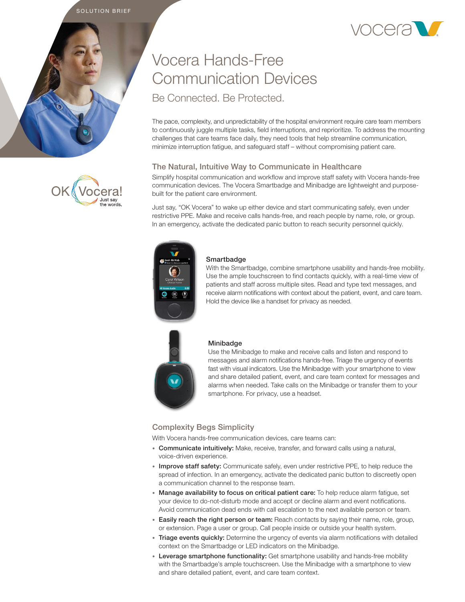SOLUTION BRIEF







# Vocera Hands-Free Communication Devices Be Connected. Be Protected.

The pace, complexity, and unpredictability of the hospital environment require care team members to continuously juggle multiple tasks, field interruptions, and reprioritize. To address the mounting challenges that care teams face daily, they need tools that help streamline communication, minimize interruption fatigue, and safeguard staff – without compromising patient care.

## The Natural, Intuitive Way to Communicate in Healthcare

Simplify hospital communication and workflow and improve staff safety with Vocera hands-free communication devices. The Vocera Smartbadge and Minibadge are lightweight and purposebuilt for the patient care environment.

Just say, "OK Vocera" to wake up either device and start communicating safely, even under restrictive PPE. Make and receive calls hands-free, and reach people by name, role, or group. In an emergency, activate the dedicated panic button to reach security personnel quickly.



#### **Smartbadge**

With the Smartbadge, combine smartphone usability and hands-free mobility. Use the ample touchscreen to find contacts quickly, with a real-time view of patients and staff across multiple sites. Read and type text messages, and receive alarm notifications with context about the patient, event, and care team. Hold the device like a handset for privacy as needed.



#### Minibadge

Use the Minibadge to make and receive calls and listen and respond to messages and alarm notifications hands-free. Triage the urgency of events fast with visual indicators. Use the Minibadge with your smartphone to view and share detailed patient, event, and care team context for messages and alarms when needed. Take calls on the Minibadge or transfer them to your smartphone. For privacy, use a headset.

## Complexity Begs Simplicity

With Vocera hands-free communication devices, care teams can:

- Communicate intuitively: Make, receive, transfer, and forward calls using a natural, voice-driven experience.
- Improve staff safety: Communicate safely, even under restrictive PPE, to help reduce the spread of infection. In an emergency, activate the dedicated panic button to discreetly open a communication channel to the response team.
- Manage availability to focus on critical patient care: To help reduce alarm fatigue, set your device to do-not-disturb mode and accept or decline alarm and event notifications. Avoid communication dead ends with call escalation to the next available person or team.
- Easily reach the right person or team: Reach contacts by saying their name, role, group, or extension. Page a user or group. Call people inside or outside your health system.
- Triage events quickly: Determine the urgency of events via alarm notifications with detailed context on the Smartbadge or LED indicators on the Minibadge.
- Leverage smartphone functionality: Get smartphone usability and hands-free mobility with the Smartbadge's ample touchscreen. Use the Minibadge with a smartphone to view and share detailed patient, event, and care team context.